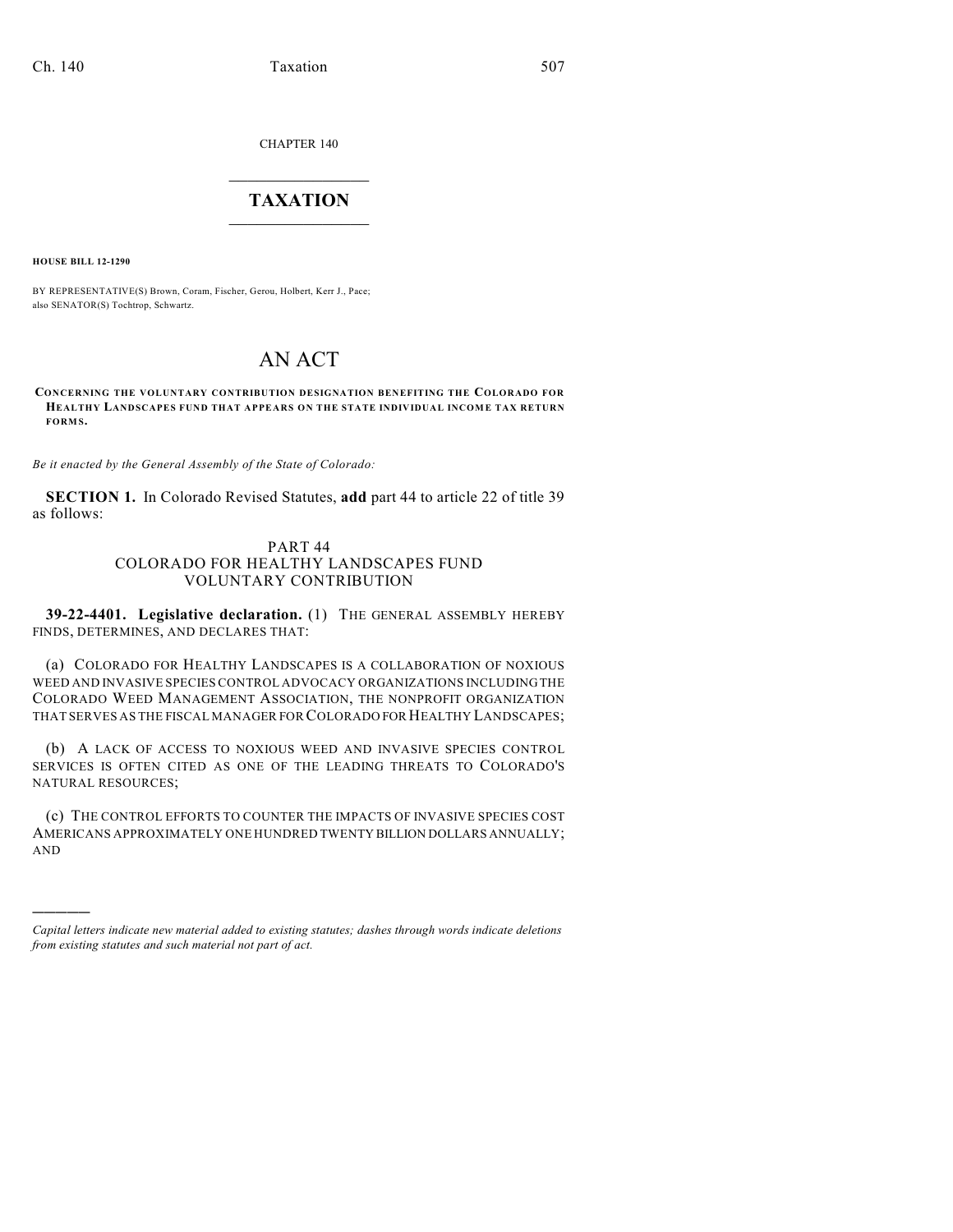CHAPTER 140

## $\mathcal{L}_\text{max}$  . The set of the set of the set of the set of the set of the set of the set of the set of the set of the set of the set of the set of the set of the set of the set of the set of the set of the set of the set **TAXATION**  $\_$

**HOUSE BILL 12-1290**

)))))

BY REPRESENTATIVE(S) Brown, Coram, Fischer, Gerou, Holbert, Kerr J., Pace; also SENATOR(S) Tochtrop, Schwartz.

## AN ACT

**CONCERNING THE VOLUNTARY CONTRIBUTION DESIGNATION BENEFITING THE COLORADO FOR HEALTHY LANDSCAPES FUND THAT APPEARS ON THE STATE INDIVIDUAL INCOME TAX RETURN FORMS.**

*Be it enacted by the General Assembly of the State of Colorado:*

**SECTION 1.** In Colorado Revised Statutes, **add** part 44 to article 22 of title 39 as follows:

## PART 44 COLORADO FOR HEALTHY LANDSCAPES FUND VOLUNTARY CONTRIBUTION

**39-22-4401. Legislative declaration.** (1) THE GENERAL ASSEMBLY HEREBY FINDS, DETERMINES, AND DECLARES THAT:

(a) COLORADO FOR HEALTHY LANDSCAPES IS A COLLABORATION OF NOXIOUS WEED AND INVASIVE SPECIES CONTROL ADVOCACY ORGANIZATIONS INCLUDING THE COLORADO WEED MANAGEMENT ASSOCIATION, THE NONPROFIT ORGANIZATION THAT SERVES AS THE FISCAL MANAGER FOR COLORADO FOR HEALTHY LANDSCAPES;

(b) A LACK OF ACCESS TO NOXIOUS WEED AND INVASIVE SPECIES CONTROL SERVICES IS OFTEN CITED AS ONE OF THE LEADING THREATS TO COLORADO'S NATURAL RESOURCES;

(c) THE CONTROL EFFORTS TO COUNTER THE IMPACTS OF INVASIVE SPECIES COST AMERICANS APPROXIMATELY ONE HUNDRED TWENTY BILLION DOLLARS ANNUALLY; AND

*Capital letters indicate new material added to existing statutes; dashes through words indicate deletions from existing statutes and such material not part of act.*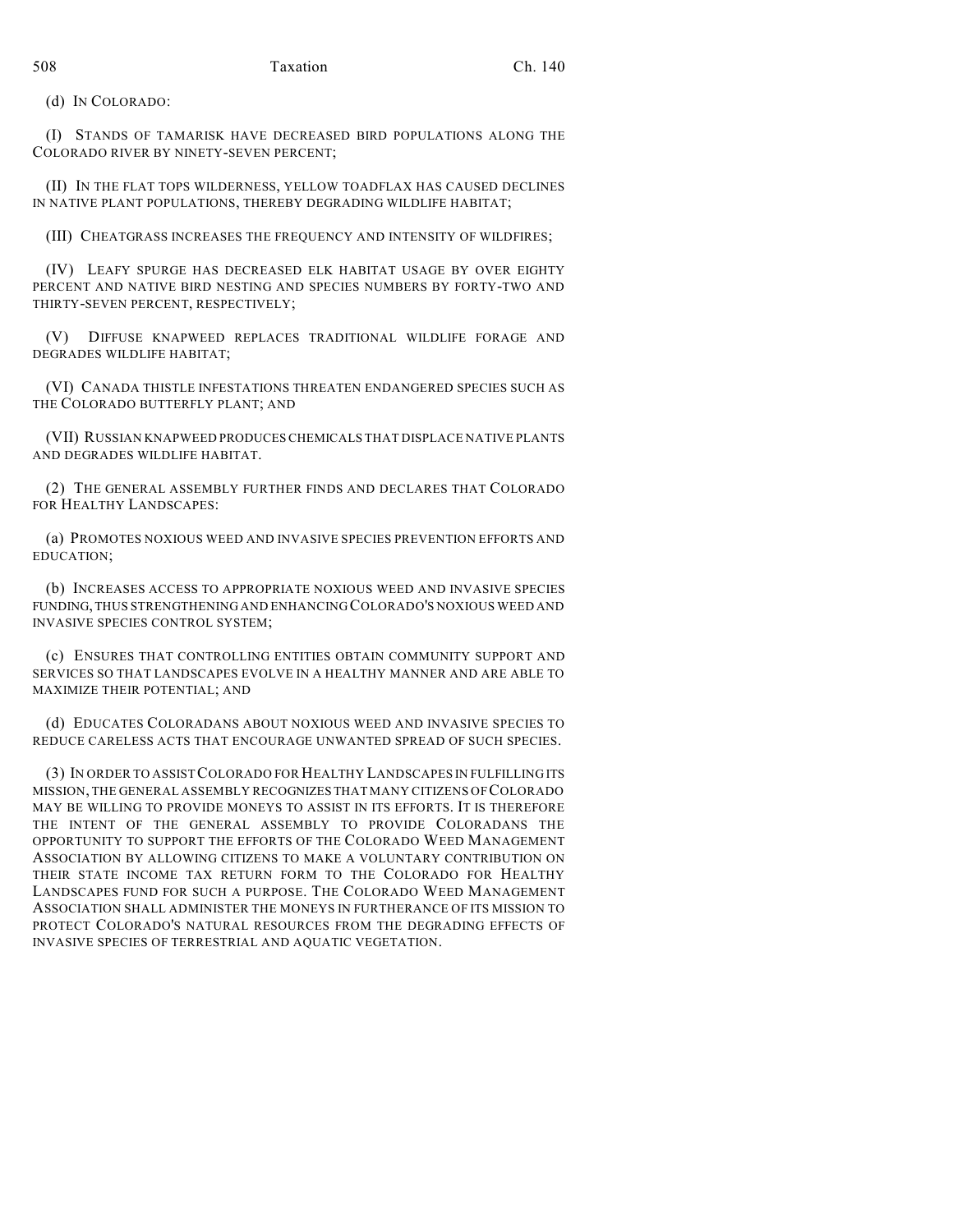(d) IN COLORADO:

(I) STANDS OF TAMARISK HAVE DECREASED BIRD POPULATIONS ALONG THE COLORADO RIVER BY NINETY-SEVEN PERCENT;

(II) IN THE FLAT TOPS WILDERNESS, YELLOW TOADFLAX HAS CAUSED DECLINES IN NATIVE PLANT POPULATIONS, THEREBY DEGRADING WILDLIFE HABITAT;

(III) CHEATGRASS INCREASES THE FREQUENCY AND INTENSITY OF WILDFIRES;

(IV) LEAFY SPURGE HAS DECREASED ELK HABITAT USAGE BY OVER EIGHTY PERCENT AND NATIVE BIRD NESTING AND SPECIES NUMBERS BY FORTY-TWO AND THIRTY-SEVEN PERCENT, RESPECTIVELY;

(V) DIFFUSE KNAPWEED REPLACES TRADITIONAL WILDLIFE FORAGE AND DEGRADES WILDLIFE HABITAT;

(VI) CANADA THISTLE INFESTATIONS THREATEN ENDANGERED SPECIES SUCH AS THE COLORADO BUTTERFLY PLANT; AND

(VII) RUSSIAN KNAPWEED PRODUCESCHEMICALS THAT DISPLACE NATIVE PLANTS AND DEGRADES WILDLIFE HABITAT.

(2) THE GENERAL ASSEMBLY FURTHER FINDS AND DECLARES THAT COLORADO FOR HEALTHY LANDSCAPES:

(a) PROMOTES NOXIOUS WEED AND INVASIVE SPECIES PREVENTION EFFORTS AND EDUCATION;

(b) INCREASES ACCESS TO APPROPRIATE NOXIOUS WEED AND INVASIVE SPECIES FUNDING, THUS STRENGTHENING AND ENHANCING COLORADO'S NOXIOUS WEED AND INVASIVE SPECIES CONTROL SYSTEM;

(c) ENSURES THAT CONTROLLING ENTITIES OBTAIN COMMUNITY SUPPORT AND SERVICES SO THAT LANDSCAPES EVOLVE IN A HEALTHY MANNER AND ARE ABLE TO MAXIMIZE THEIR POTENTIAL; AND

(d) EDUCATES COLORADANS ABOUT NOXIOUS WEED AND INVASIVE SPECIES TO REDUCE CARELESS ACTS THAT ENCOURAGE UNWANTED SPREAD OF SUCH SPECIES.

(3) IN ORDER TO ASSISTCOLORADO FOR HEALTHY LANDSCAPES IN FULFILLING ITS MISSION, THE GENERAL ASSEMBLY RECOGNIZES THAT MANY CITIZENS OF COLORADO MAY BE WILLING TO PROVIDE MONEYS TO ASSIST IN ITS EFFORTS. IT IS THEREFORE THE INTENT OF THE GENERAL ASSEMBLY TO PROVIDE COLORADANS THE OPPORTUNITY TO SUPPORT THE EFFORTS OF THE COLORADO WEED MANAGEMENT ASSOCIATION BY ALLOWING CITIZENS TO MAKE A VOLUNTARY CONTRIBUTION ON THEIR STATE INCOME TAX RETURN FORM TO THE COLORADO FOR HEALTHY LANDSCAPES FUND FOR SUCH A PURPOSE. THE COLORADO WEED MANAGEMENT ASSOCIATION SHALL ADMINISTER THE MONEYS IN FURTHERANCE OF ITS MISSION TO PROTECT COLORADO'S NATURAL RESOURCES FROM THE DEGRADING EFFECTS OF INVASIVE SPECIES OF TERRESTRIAL AND AQUATIC VEGETATION.